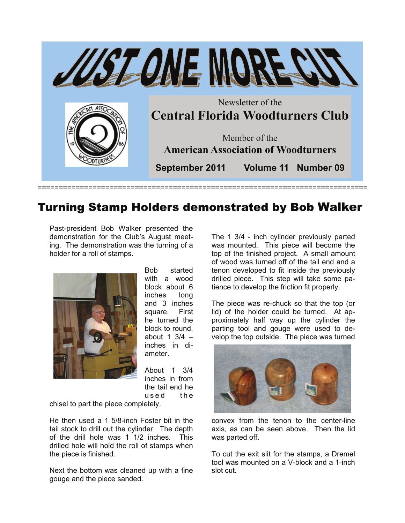

## Turning Stamp Holders demonstrated by Bob Walker

Past-president Bob Walker presented the demonstration for the Club's August meeting. The demonstration was the turning of a holder for a roll of stamps.



Bob started with a wood block about 6 inches long and 3 inches square. First he turned the block to round, about 1  $3/4$  – inches in diameter.

About 1 3/4 inches in from the tail end he used the

chisel to part the piece completely.

He then used a 1 5/8-inch Foster bit in the tail stock to drill out the cylinder. The depth of the drill hole was 1 1/2 inches. This drilled hole will hold the roll of stamps when the piece is finished.

Next the bottom was cleaned up with a fine gouge and the piece sanded.

The 1 3/4 - inch cylinder previously parted was mounted. This piece will become the top of the finished project. A small amount of wood was turned off of the tail end and a tenon developed to fit inside the previously drilled piece. This step will take some patience to develop the friction fit properly.

The piece was re-chuck so that the top (or lid) of the holder could be turned. At approximately half way up the cylinder the parting tool and gouge were used to develop the top outside. The piece was turned



convex from the tenon to the center-line axis, as can be seen above. Then the lid was parted off.

To cut the exit slit for the stamps, a Dremel tool was mounted on a V-block and a 1-inch slot cut.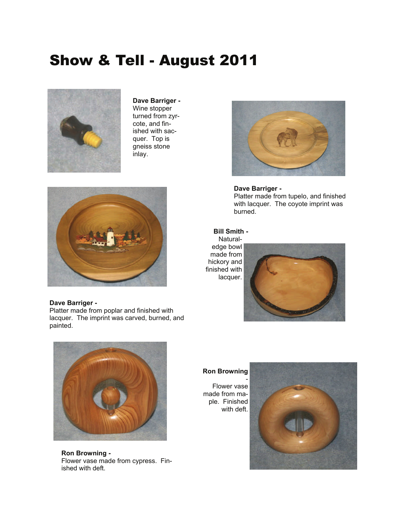## Show & Tell - August 2011



**Dave Barriger -**  Wine stopper turned from zyrcote, and finished with sacquer. Top is gneiss stone inlay.



#### **Dave Barriger -**

Platter made from poplar and finished with lacquer. The imprint was carved, burned, and painted.



**Dave Barriger -**  Platter made from tupelo, and finished with lacquer. The coyote imprint was burned.

#### **Bill Smith -**

Naturaledge bowl made from hickory and finished with lacquer.



#### **Ron Browning**

Flower vase made from maple. Finished with deft.





**Ron Browning -**  Flower vase made from cypress. Finished with deft.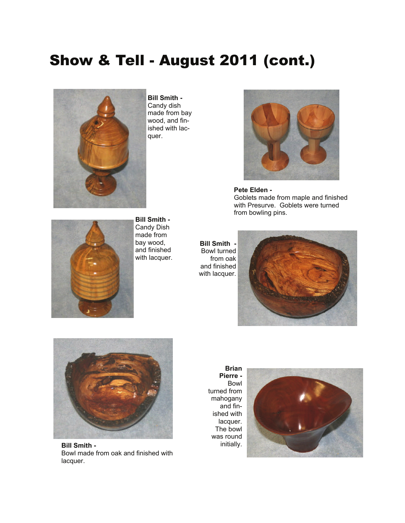# Show & Tell - August 2011 (cont.)



**Bill Smith -**  Candy dish made from bay wood, and finished with lacquer.



**Pete Elden -**  Goblets made from maple and finished with Presurve. Goblets were turned from bowling pins.



**Bill Smith -**  Candy Dish made from bay wood, and finished with lacquer.

**Bill Smith -**  Bowl turned from oak and finished with lacquer.





**Bill Smith -**  Bowl made from oak and finished with lacquer.

**Brian Pierre -**  Bowl turned from mahogany and finished with lacquer. The bowl was round initially.

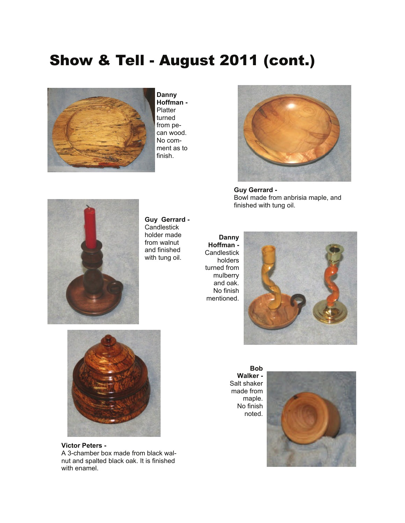# Show & Tell - August 2011 (cont.)



**Danny Hoffman - Platter** turned from pecan wood. No comment as to finish.



**Guy Gerrard -**  Bowl made from anbrisia maple, and finished with tung oil.



**Guy Gerrard - Candlestick** holder made from walnut and finished with tung oil.

**Danny Hoffman - Candlestick** holders turned from mulberry and oak. No finish mentioned.





**Victor Peters -**  A 3-chamber box made from black walnut and spalted black oak. It is finished with enamel.

**Bob Walker -**  Salt shaker made from maple. No finish noted.